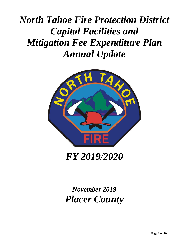# *North Tahoe Fire Protection District Capital Facilities and Mitigation Fee Expenditure Plan Annual Update*



*FY 2019/2020*

*November 2019 Placer County*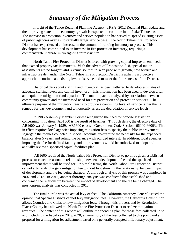### *Summary of the Mitigation Process*

In light of the Tahoe Regional Planning Agency (TRPA) 2012 Regional Plan update and the improving state of the economy, growth is expected to continue in the Lake Tahoe basin. The increase in protection inventory and service population has served to spread existing assets of public agencies over a substantially larger service base. The North Tahoe Fire Protection District has experienced an increase in the amount of building inventory to protect. This development has contributed to an increase in fire protection inventory, requiring a commensurate increase in firefighting infrastructure.

North Tahoe Fire Protection District is faced with growing capital improvement needs that exceed property tax increments. With the advent of Proposition 218, special tax or assessments are no longer valid revenue sources to keep pace with growth, new service and infrastructure demands. The North Tahoe Fire Protection District is utilizing a proactive approach to continue an existing level of service and to meet the future needs of the District.

Historical data about staffing and inventory has been gathered to develop estimates of adequate staffing levels and capital inventory. This information has been used to develop a fair and equitable mitigation fund equation. The total impact is analyzed by correlation between community growth and the increased need for fire prevention and protection services. The ultimate purpose of the mitigation fees is to provide a continuing level of service rather than a remedy for past development and to hopefully arrest the degradation of service levels.

In 1986 Assembly Member Cortese recognized the need for concise legislation concerning mitigation. AB1600 is the result of hearings. Through delay, the effective date of AB1600 was January 1, 1989. AB1600 enacted Government Code Sections 66000-66003. This in effect requires local agencies imposing mitigation fees to specify the public improvement, segregate the monies collected in special accounts, re-examine the necessity for the expanded balance after 5 years, and refund the balance with accrued interest. In addition, local agencies imposing the fee for defined facility and improvements would be authorized to adopt and annually review a specified capital facilities plan.

AB1600 required the North Tahoe Fire Protection District to go through an established process to enact a reasonable relationship between a development fee and the specified improvement that it will be used for. In simple terms, the North Tahoe Fire Protection District cannot arbitrarily charge a mitigation fee without first showing the relationship between impact of development and the fee being charged. A thorough analysis of this process was completed in 2007 and 2013. In 2015, another thorough analysis was conducted that established and confirmed the relationship between the impact of development and the fee being charged. The most current analysis was conducted in 2018.

The final hurdle was the actual levy of fees. The California Attorney General issued the opinion that Special Districts cannot levy mitigation fees. However, the California Constitution allows Counties and Cities to levy mitigation fees. Through this process and by Resolution, Placer County has allowed the North Tahoe Fire Protection District to realize mitigation revenues. The content of this report will outline the spending plan for those fees collected up to and including the fiscal year 2019/2020, an inventory of the fees collected to this point and a proposal for a mitigation fee adjustment based on a generally accepted inflationary adjustment.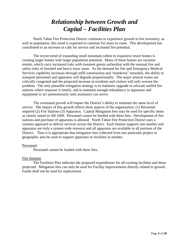### *Relationship between Growth and Capital – Facilities Plan*

North Tahoe Fire Protection District continues to experience growth in fire inventory, as well as population, this trend is expected to continue for years to come. This development has contributed to an increase in calls for service and increased fire potential.

The recent trend of expanding small mountain cabins to expansive resort homes is creating larger homes with larger population potential. Many of these homes are vacation rentals, which carry increased risks with transient guests unfamiliar with the unusual fire and safety risks of forested and heavy snow areas. As the demand for fire and Emergency Medical Services capability increases through infill construction and "teardown" remodels, the ability to transport personnel and apparatus will degrade proportionally. The major arterial routes are critically congested and the projected increase in residents and visitors will only worsen the problem. The only plausible mitigation strategy is to maintain, upgrade or relocate staffed fire stations where response is timely, and to maintain enough redundancy in apparatus and equipment to act autonomously until assistance can arrive.

The continued growth will impact the District's ability to maintain the same level of service. The impact of this growth affects three aspects of the organization: (1) Personnel required (2) Fire Stations (3) Apparatus. Capital Mitigation fees may be used for specific items as clearly stated in AB 1600. Personnel cannot be funded with these fees. Development of fire stations and purchase of apparatus is allowed. North Tahoe Fire Protection District uses a systems approach to deliver services across the District. Each Station supports one another and apparatus are truly a system wide resource and all apparatus are available to all portions of the District. Thus it is appropriate that mitigation fees collected from one particular project or geographic area be used to support apparatus or facilities in another.

#### Personnel

Personnel cannot be funded with these fees.

#### Fire Stations

The Facilities Plan indicates the proposed expenditures for all existing facilities and those projected. Mitigation fees can only be used for Facility improvements directly related to growth. Funds shall not be used for replacement.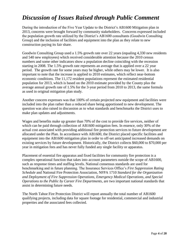### *Discussion of Issues Raised through Public Comment*

During the introduction of the Five Year Update to the District's AB1600 Mitigation plan in 2013, concerns were brought forward by community stakeholders. Concerns expressed included the population growth rate utilized by the District's AB1600 consultants (Goodwin Consulting Group) and the inclusion of facilities and equipment into the plan as they relate to new construction paying its fair share.

Goodwin Consulting Group used a 1.5% growth rate over 22 years (equaling 4,330 new residents and 540 new employees) which received considerable attention because the 2010 census numbers and some other indicators show a population decline coinciding with the recession starting in 2008. The 1.5% growth rate represents an average that is applied over a 22 year period. The growth rate for some years may be higher, while others may be lower. It is also important to note that the increase is applied to 2010 estimates, which reflect near-bottom economic conditions. The 11,172 resident populations represent the estimated residential population for 2013, which is based on the 2010 estimate provided by the County plus the average annual growth rate of 1.5% for the 3-year period from 2010 to 2013, the same formula as used in original mitigation plan study.

Another concern expresses was that 100% of certain projected new equipment and facilities were included into the plan rather than a reduced share being apportioned to new development. The question was also raised in discussion as to what standards and benchmarks the District uses to make plan updates and adjustments.

Wages and benefits make up greater than 70% of the cost to provide fire services, neither of which can be paid through collection of AB1600 mitigation fees. In essence, only 30% of the actual cost associated with providing additional fire protection services to future development are allocated under the Plan. In accordance with AB1600, the District placed specific facilities and equipment into the AB1600 mitigation plan in order to off-set anticipated increased demands on existing services by future development. Historically, the District collects \$60,000 to \$70,000 per year in mitigation fees and has never fully funded any single facility or apparatus.

Placement of essential fire apparatus and fixed facilities for community fire protection is a complex operational function that takes into account parameters outside the scope of AB1600, such as response times and staffing levels. National consensus standards are used for benchmarking and in future planning. The Insurance Services Office's *Fire Suppression Rating Schedule* and National Fire Protection Association, NFPA 1710 *Standard for the Organization and Deployment of Fire Suppression Operations, Emergency Medical Operations, and Special Operations to the Public by Career Fire Departments*, are two important national standards that assist in determining future needs.

The North Tahoe Fire Protection District will report annually the total number of AB1600 qualifying projects, including data for square footage for residential, commercial and industrial properties and the associated fees collected.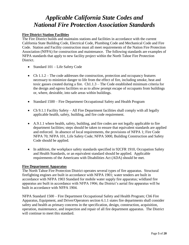### *Applicable California State Codes and National Fire Protection Association Standards*

#### **Fire District Station Facilities**

The Fire District builds and maintains stations and facilities in accordance with the current California State Building Code, Electrical Code, Plumbing Code and Mechanical Code and Fire Code. Station and Facility construction must all meet requirements of the Nation Fire Protection Association (NFPA) for construction and maintenance. The following standards are examples of NFPA standards that apply to new facility project within the North Tahoe Fire Protection District.

- Standard 101 Life Safety Code
- Ch  $1.1.2$  The code addresses the construction, protection and occupancy features necessary to minimize danger to life from the effect of fire, including smoke, heat and toxic gasses created during a fire. Ch1.1.3 – The Code established minimum criteria for the design and egress facilities so as to allow prompt escape of occupants from buildings or, where, desirable, into safe areas within buildings.
- Standard 1500 Fire Department Occupational Safety and Health Program
- Ch 9.1.1 Facility Safety All Fire Department facilities shall comply with all legally applicable health, safety, building, and fire code requirement.
- A.9.1.1 where health, safety, building, and fire codes are not legally applicable to fire department facilities; steps should be taken to ensure that equivalent standards are applied and enforced. In absence of local requirements, the provisions of NFPA 1; Fire Code NFPA 70; NFPA 101, Life Safety Code; NFPA 5000, Building Construction and Safety Code should be applied.
- In addition, the workplace safety standards specified in 92CFR 1910, Occupation Safety and Health Standards, or an equivalent standard should be applied. Applicable requirements of the Americans with Disabilities Act (ADA) should be met.

#### **Fire Department Apparatus**

The North Tahoe Fire Protection District operates several types of fire apparatus. Structural firefighting engines are built in accordance with NFPA 1901; water tenders are built in accordance with NFPA 1903 Standard for mobile water supply fire apparatus; wildland fire apparatus are built in accordance with NFPA 1906; the District's aerial fire apparatus will be built in accordance with NFPA 1904.

NFPA Standard 1500 – Fire Department Occupational Safety and Health Program; Ch6 Fire Apparatus, Equipment, and Driver/Operators section 6.1.1 states fire departments shall consider safety and health as primary concerns in the specification, design, construction, acquisition, operation, maintenance, and inspection and repair of all fire department apparatus. The District will continue to meet this standard.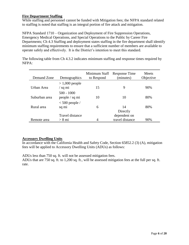#### **Fire Department Staffing**

While staffing and personnel cannot be funded with Mitigation fees; the NFPA standard related to staffing is noted that staffing is an integral portion of fire attack and mitigation.

NFPA Standard 1710 – Organization and Deployment of Fire Suppression Operations, Emergency Medical Operations, and Special Operations to the Public by Career Fire Departments; Ch 4.3 Staffing and deployment states staffing in the fire department shall identify minimum staffing requirements to ensure that a sufficient number of members are available to operate safely and effectively. It is the District's intention to meet this standard.

The following table from Ch 4.3.2 indicates minimum staffing and response times required by NFPA:

| Demand Zone   | Demographics                   | Minimum Staff<br>to Respond | Response Time<br>(minutes) | <b>Meets</b><br>Objective |
|---------------|--------------------------------|-----------------------------|----------------------------|---------------------------|
| Urban Area    | $> 1,000$ people<br>$/$ sq mi  | 15                          | 9                          | 90%                       |
| Suburban area | $500 - 1000$<br>people / sq mi | 10                          | 10                         | 80%                       |
| Rural area    | $<$ 500 people /<br>sq mi      | 6                           | 14                         | 80%                       |
|               | Travel distance                |                             | Directly<br>dependent on   |                           |
| Remote area   | $> 8 \text{ mi}$               | 4                           | travel distance            | 90%                       |

#### **Accessory Dwelling Units**

In accordance with the California Health and Safety Code, Section 65852.2 (3) (A), mitigation fees will be applied to Accessory Dwelling Units (ADUs) as follows:

ADUs less than 750 sq. ft. will not be assessed mitigation fees.

ADUs that are 750 sq. ft. to 1,200 sq. ft., will be assessed mitigation fees at the full per sq. ft. rate.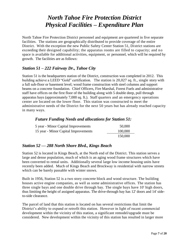### *North Tahoe Fire Protection District Physical Facilities – Expenditure Plan*

North Tahoe Fire Protection District personnel and equipment are quartered in five separate facilities. The stations are geographically distributed to provide coverage of the entire District. With the exception the new Public Safety Center Station 51, District stations are exceeding their designed capability; the apparatus rooms are filled to capacity; and no space is available for additional activities, equipment, or personnel, which will be required by growth. The facilities are as follows:

#### *Station 51 – 222 Fairway Dr., Tahoe City*

Station 51 is the headquarters station of the District, construction was completed in 2012. This building achieve a LEED "Gold" certification. The station is 20,027 sq. ft., single story with a full sub-floor or basement level; wood frame construction with steel columns and support beams on a concrete foundation. Chief Officers, Fire Marshal, Forest Fuels and administrative staff have offices on the first floor of the building along with 5 double deep, pull through apparatus bays (approximately 7,000 sq. ft.). Staff quarters and an emergency operations center are located on the lower floor. This station was constructed to meet the administrative needs of the District for the next 50 years but has already reached capacity in many ways.

#### *Future Funding Needs and allocations for Station 51:*

| 5 year - Minor Capital Improvements  | 50,000  |
|--------------------------------------|---------|
| 15 year - Minor Capital Improvements | 100,000 |
|                                      | 150,000 |

#### *Station 52 — 288 North Shore Blvd., Kings Beach*

Station 52 is located in Kings Beach, at the North end of the District. This station serves a large and dense population, much of which is an aging wood frame structures which have been converted to rental units. Additionally several large low income housing units have recently been added. Much of Kings Beach and Brockway is residential with narrow streets which can be barely passable with winter snows.

Built in 1956, Station 52 is a two story concrete block and wood structure. The building houses active engine companies, as well as some administrative offices. The station has three single bays and one double drive through bay. The single bays have 10' high doors, thus limiting the height of assigned apparatus. The drive-through bay has 12' doors and 14' sideto-side clearance.

The parcel of land that this station is located on has several restrictions that limit the District's ability to expand or retrofit this station. However in light of recent commercial development within the vicinity of this station, a significant remodel/upgrade must be considered. New development within the vicinity of this station has resulted in larger more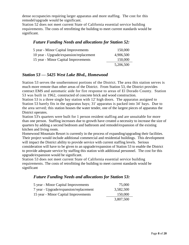dense occupancies requiring larger apparatus and more staffing. The cost for this remodel/upgrade would be significant.

Station 52 does not meet current State of California essential service building requirements. The costs of retrofitting the building to meet current standards would be significant.

#### *Future Funding Needs and allocations for Station 52:*

| 5 year - Minor Capital Improvements     | 150,000   |
|-----------------------------------------|-----------|
| 10 year - Upgrade/expansion/replacement | 4,906,500 |
| 15 year - Minor Capital Improvements    | 150,000   |
|                                         | 5,206,500 |

#### *Station 53 — 5425 West Lake Blvd., Homewood*

Station 53 serves the southernmost portions of the District. The area this station serves is much more remote than other areas of the District. From Station 53, the District provides contract EMS and automatic aide for fire response to areas of El Dorado County. Station 53 was built in 1962, constructed of concrete brick and wood construction.

Station 53 is a three single bay station with 12' high doors. The apparatus assigned to Station 53 barely fits in the apparatus bays; 31' apparatus is packed into 34' bays. Due to the area served; this station houses the water tender, one of the largest pieces of apparatus the District operates.

Station 53's quarters were built for 1 person resident staffing and are unsuitable for more than one person. Staffing increases due to growth have created a necessity to increase the size of quarters by adding a second bedroom and bathroom and remodel/expansion of the existing kitchen and living room.

Homewood Mountain Resort is currently in the process of expanding/upgrading their facilities. Their project would include additional commercial and residential buildings. This development will impact the District ability to provide service with current staffing levels. Serious consideration will have to be given to an upgrade/expansion of Station 53 to enable the District to provide adequate service by staffing this station with additional personnel. The cost for this upgrade/expansion would be significant.

Station 53 does not meet current State of California essential service building requirements. The costs of retrofitting the building to meet current standards would be significant

#### *Future Funding Needs and allocations for Station 53:*

| 5 year - Minor Capital Improvements    | 75,000    |
|----------------------------------------|-----------|
| 7 year - Upgrade/expansion/replacement | 3,582,500 |
| 15 year - Minor Capital Improvements   | 150,000   |
|                                        | 3,807,500 |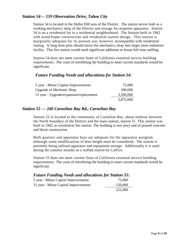#### *Station 54— 159 Observation Drive, Tahoe City*

Station 54 is located in the Dollar Hill area of the District. The station serves both as a working mechanics shop of the District and storage for response apparatus. Station 54 is on a residential lot in a residential neighborhood. The Station built in 1962 with wood frame construction and residential station design. This station is marginally adequate for its present use; however incompatible with residential zoning. A long term plan should move the mechanics shop into larger more industrial facility. This fire station would need significant additions to house full time staffing.

Station 54 does not meet current State of California essential service building requirements. The costs of retrofitting the building to meet current standards would be significant.

#### *Future Funding Needs and allocations for Station 54:*

| 5 year - Minor Capital Improvements     | 75,000    |
|-----------------------------------------|-----------|
| <b>Upgrade of Mechanic Shop</b>         | 300,000   |
| 15 year - Upgrade/expansion/replacement | 3,500,000 |
|                                         | 3,875,000 |

#### *Station 55 — 240 Carnelian Bay Rd., Carnelian Bay*

Station 55 is located in the community of Carnelian Bay, about midway between the North boundary of the District and the main station, station 51. This station was built in 1962 as residential fire station. The building is two story and of poured concrete and block construction.

Both quarters and apparatus bays are adequate for the apparatus assigned, although some modifications of door height must be considered. The station is presently being utilized apparatus and equipment storage. Additionally it is used during the summer months as a staffed station by CalFire.

Station 55 does not meet current State of California essential service building requirements. The costs of retrofitting the building to meet current standards would be significant.

| <b>Future Funding Needs and allocations for Station 55:</b> |         |
|-------------------------------------------------------------|---------|
| 5 year - Minor Capital Improvements                         | 75,000  |
| 15 year - Minor Capital Improvements                        | 150,000 |
|                                                             | 225,000 |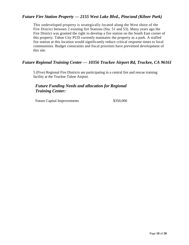#### *Future Fire Station Property — 2155 West Lake Blvd., Pine/and (Kilner Park)*

This undeveloped property is strategically located along the West shore of the Fire District between 2 existing fire Stations (Sta. 51 and 53). Many years ago the Fire District was granted the right to develop a fire station on the South East corner of this property. Tahoe City PUD currently maintains the property as a park. A staffed fire station at this location would significantly reduce critical response times to local communities. Budget constraints and fiscal priorities have prevented development of this site.

#### *Future Regional Training Center — 10356 Truckee Airport Rd, Truckee, CA 96161*

5 (Five) Regional Fire Districts are participating in a central fire and rescue training facility at the Truckee Tahoe Airport.

#### *Future Funding Needs and allocation for Regional Training Center:*

Future Capital Improvements  $$350,000$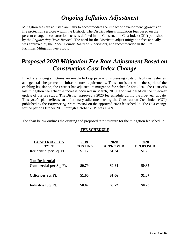### *Ongoing Inflation Adjustment*

Mitigation fees are adjusted annually to accommodate the impact of development (growth) on fire protection services within the District. The District adjusts mitigation fees based on the percent change in construction costs as defined in the Construction Cost Index (CCI) published by the *Engineering News-Record.* The need for the District to adjust mitigation fees annually was approved by the Placer County Board of Supervisors, and recommended in the Fire Facilities Mitigation Fee Study.

### *Proposed 2020 Mitigation Fee Rate Adjustment Based on Construction Cost Index Change*

Fixed rate pricing structures are unable to keep pace with increasing costs of facilities, vehicles, and general fire protection infrastructure requirements. Thus consistent with the spirit of the enabling legislation, the District has adjusted its mitigation fee schedule for 2020. The District's last mitigation fee schedule increase occurred in March, 2019, and was based on the five-year update of our fee study. The District approved a 2020 fee schedule during the five-year update. This year's plan reflects an inflationary adjustment using the Construction Cost Index (CCI) published by the *Engineering News-Record* on the approved 2020 fee schedule. The CCI change for the period October 2018 through October 2019 was 1.28%.

The chart below outlines the existing and proposed rate structure for the mitigation fee schedule.

#### **FEE SCHEDULE**

| <b>CONSTRUCTION</b><br><b>TYPE</b> | 2019<br><b>EXISTING</b> | 2020<br><b>APPROVED</b> | 2020<br><b>PROPOSED</b> |
|------------------------------------|-------------------------|-------------------------|-------------------------|
| Residential per Sq. Ft.            | \$1.17                  | \$1.24                  | \$1.26                  |
| <b>Non-Residential</b>             |                         |                         |                         |
| <b>Commercial per Sq. Ft.</b>      | \$0.79                  | \$0.84                  | \$0.85                  |
| Office per Sq. Ft.                 | \$1.00                  | \$1.06                  | \$1.07                  |
| <b>Industrial Sq. Ft.</b>          | \$0.67                  | \$0.72                  | \$0.73                  |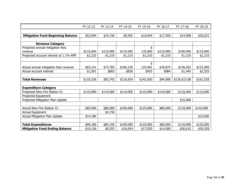|                                          | FY 12-13  | FY 13-14                        | FY 14-15  | FY 15-16  | FY 16-17  | FY 17-18     | FY 18-19  |
|------------------------------------------|-----------|---------------------------------|-----------|-----------|-----------|--------------|-----------|
|                                          |           |                                 |           |           |           |              |           |
| <b>Mitigation Fund Beginning Balance</b> | \$53,694  | \$19,156<br>\$9,592<br>\$16,654 |           | \$17,050  | \$14,908  | \$26,615     |           |
|                                          |           |                                 |           |           |           |              |           |
| <b>Revenue Category</b>                  |           |                                 |           |           |           |              |           |
| Projected annual mitigation fees         |           |                                 |           | \$        |           |              |           |
| revenue                                  | \$110,000 | \$110,000                       | \$110,000 | 110,000   | \$110,000 | \$100,000    | \$110,000 |
| Projected account interest at 1.1% APR   | \$1,210   | \$1,210                         | \$1,210   | \$1,210   | \$1,210   | \$1,210      | \$1,210   |
|                                          |           |                                 |           |           |           |              |           |
|                                          |           |                                 |           | \$        |           |              |           |
| Actual annual mitigation fees revenue    | \$63,141  | \$73,783                        | \$106,236 | 124,461   | \$76,874  | \$120,262    | \$132,589 |
| Actual account interest                  | \$1,501   | \$803                           | \$826     | \$935     | \$984     | \$1,445      | \$2,325   |
|                                          |           |                                 |           |           |           |              |           |
| <b>Total Revenues</b>                    | \$118,336 | \$93,742                        | \$116,654 | \$142,050 | \$94,908  | \$136,615.08 | \$161,528 |
|                                          |           |                                 |           |           |           |              |           |
| <b>Expenditure Category</b>              |           |                                 |           |           |           |              |           |
| Projected New Fire Station 51            | \$110,000 | \$110,000                       | \$110,000 | \$110,000 | \$110,000 | \$110,000    | \$110,000 |
| Projected Equipment                      |           |                                 |           |           |           |              |           |
| Projected Mitigation Plan Update         |           |                                 |           |           |           | \$15,000     |           |
|                                          |           |                                 |           |           |           |              |           |
| Actual New Fire Station 51               | \$85,000  | \$80,000                        | \$100,000 | \$125,000 | \$80,000  | \$110,000    | \$110,000 |
| Actual Equipment                         |           | \$4,150                         |           |           |           |              |           |
| Actual Mitigation Plan Update            | \$14,180  |                                 |           |           |           |              | \$15,000  |
|                                          |           |                                 |           |           |           |              |           |
| <b>Total Expenditures</b>                | \$99,180  | \$84,150                        | \$100,000 | \$125,000 | \$80,000  | \$110,000    | \$125,000 |
| <b>Mitigation Fund Ending Balance</b>    | \$19,156  | \$9,592                         | \$16,654  | \$17,050  | \$14,908  | \$26,615     | \$36,528  |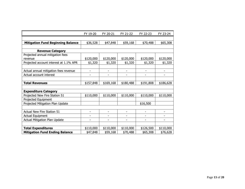| FY 19-20  | FY 20-21                 | FY 21-22                 | FY 22-23                 | FY 23-24                 |
|-----------|--------------------------|--------------------------|--------------------------|--------------------------|
|           |                          |                          |                          |                          |
| \$36,528  | \$47,848                 | \$59,168                 | \$70,488                 | \$65,308                 |
|           |                          |                          |                          |                          |
|           |                          |                          |                          |                          |
|           |                          |                          |                          |                          |
| \$120,000 | \$120,000                | \$120,000                | \$120,000                | \$120,000                |
| \$1,320   | \$1,320                  | \$1,320                  | \$1,320                  | \$1,320                  |
|           |                          |                          |                          |                          |
|           | -                        |                          | $\overline{a}$           | -                        |
|           |                          |                          |                          |                          |
|           |                          |                          |                          |                          |
| \$157,848 | \$169,168                | \$180,488                | \$191,808                | \$186,628                |
|           |                          |                          |                          |                          |
|           |                          |                          |                          |                          |
| \$110,000 | \$110,000                | \$110,000                | \$110,000                | \$110,000                |
|           |                          |                          |                          |                          |
|           |                          |                          | \$16,500                 |                          |
|           |                          |                          |                          |                          |
| -         | $\overline{\phantom{0}}$ | $\overline{\phantom{a}}$ | $\overline{\phantom{0}}$ | $\overline{\phantom{0}}$ |
| Ξ.        | -                        |                          | ۰                        |                          |
| ٠         | $\blacksquare$           | $\blacksquare$           | ۰                        | ۰                        |
|           |                          |                          |                          |                          |
| \$110,000 | \$110,000                | \$110,000                | \$126,500                | \$110,000                |
| \$47,848  | \$59,168                 | \$70,488                 | \$65,308                 | \$76,628                 |
|           |                          |                          |                          |                          |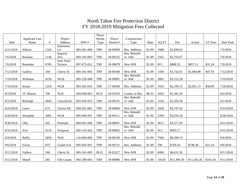### North Tahoe Fire Protection District FY 2018-2019 Mitigation Fees Collected

|           | <b>Applicant Last</b> |      | Project    |             | Placer<br>Permit | Placer   | Construction  |        |       |             |             |          |           |
|-----------|-----------------------|------|------------|-------------|------------------|----------|---------------|--------|-------|-------------|-------------|----------|-----------|
| Date      | Name                  | #    | Address    | APN#        | Type             | Permit#  | Type          | Rate   | SQ FT | Fee         | Actual      | CC Fees  | Date Paid |
|           |                       |      | Edelweiss  |             |                  |          |               |        |       |             |             |          |           |
| 6/21/2018 | Whizin                | 1320 | Ln         | 083-281-008 | <b>TRP</b>       | 18-90099 | Res. Addition | \$1.09 | 1688  | \$1,839.92  |             |          | 7/5/2018  |
|           |                       |      | Sequoia    |             |                  |          | Res. Rebuild  |        |       |             |             |          |           |
| 7/6/2018  | <b>Brosnan</b>        | 1140 | Ave        | 083-192-003 | <b>TRP</b>       | 18-90155 | w/ Add        | \$1.09 | 2563  | \$2,793.67  |             |          | 7/6/2018  |
|           |                       |      | Sans Souci |             |                  |          |               |        |       |             |             |          |           |
| 7/6/2018  | Ramsden               | 4785 | Terrace    | 097-072-012 | <b>TRP</b>       | 18-90079 | New SFR       | \$1.09 | 815   | \$888.35    | \$857.11    | \$31.24  | 7/9/2018  |
| 7/12/2018 | Gallery               | 160  | Cherry St  | 085-341-005 | <b>TRP</b>       | 18-90100 | New SFR       | \$1.09 | 1599  | \$1,742.91  | \$1,694.98  | \$47.93  | 7/12/2018 |
|           |                       |      |            |             |                  |          | Res. Rebuild  |        |       |             |             |          |           |
| 7/19/2018 | Wallunas              | 4250 | <b>WLB</b> | 085-250-008 | <b>TRP</b>       | 18-90081 | w/ Add        | \$1.09 | 2892  | \$3,152.28  |             |          | 7/19/2018 |
|           |                       |      |            |             |                  |          |               |        |       |             |             |          |           |
| 7/19/2018 | Keana                 | 1254 | <b>WLB</b> | 083-202-016 | <b>TRP</b>       | 17-90209 | Res. Addition | \$1.09 | 1935  | \$2,109.15  | \$2,051.15  | \$58.00  | 7/20/2018 |
|           |                       |      |            |             |                  |          |               |        |       |             |             |          |           |
| 8/2/2018  | TC Marina             | 700  | NLB        | 094-090-063 | <b>BLD</b>       | 18-01870 | Comm. to Res. | \$0.35 | 4292  | \$1,502.20  |             |          | 8/2/2018  |
|           |                       |      |            |             |                  |          | Res. Rebuild  |        |       |             |             |          |           |
| 8/2/2018  | Burleigh              | 4045 | Courchevel | 083-420-033 | <b>TRP</b>       | 18-90141 | w/ Add        | \$1.09 | 2162  | \$2,356.58  |             |          | 8/2/2018  |
| 8/23/2018 | Lares                 | 675  | Tavern Rd  | 094-261-001 | <b>TRP</b>       | 18-90064 | New SFR       | \$1.09 | 3438  | \$3,747.42  |             |          | 8/23/2018 |
|           |                       |      |            |             |                  |          | Res. Rebuild  |        |       |             |             |          |           |
| 8/28/2018 | Westphal              | 2805 | <b>WLB</b> | 085-040-001 | <b>TRP</b>       | 18-90111 | w/ Add        | \$1.09 | 2784  | \$3,034.56  |             |          | 8/28/2018 |
| 8/30/2018 | Olin                  | 445  | Pineland   | 084-092-040 | <b>TRP</b>       | 18-90047 | New SFR       | \$1.09 | 4011  | \$4,371.99  |             |          | 8/31/2018 |
|           |                       |      |            |             |                  |          | Res. Rebuild  |        |       |             |             |          |           |
| 8/31/2018 | Zive                  | 4116 | Ferguson   | 092-142-024 | <b>TRP</b>       | 18-90092 | w/Add         | \$1.09 | 913   | \$995.17    |             |          | 8/31/2018 |
|           |                       |      |            |             |                  |          |               |        |       |             |             |          |           |
| 9/4/2018  | Reilly                | 5850 | NLB        | 116-060-006 | <b>TRP</b>       | 18-90130 | New SFR       | \$1.09 | 7586  | \$8,268.74  |             |          | 9/4/2018  |
|           |                       |      |            |             |                  |          |               |        |       |             |             |          |           |
| 9/6/2018  | Forrar                | 875  | Grand Ave  | 085-092-001 | <b>TRP</b>       | 18-90131 | Res. Addition | \$1.09 | 706   | \$769.54    | \$748.38    | \$21.16  | 9/6/2018  |
| 9/11/2018 | Gallery               | 160  | Cherry St  | 085-341-005 | <b>BLD</b>       | 18-03227 | New SFR       | \$1.09 | 6084  | \$6,631.56  |             |          | 9/11/2018 |
|           |                       |      |            |             |                  |          |               |        |       |             |             |          |           |
| 9/11/2018 | Sheaff                | 585  | Old County | 092-290-003 | <b>TRP</b>       | 18-90096 | New SFR       | \$1.09 | 10550 | \$11,499.50 | \$11,183.26 | \$316.24 | 9/11/2018 |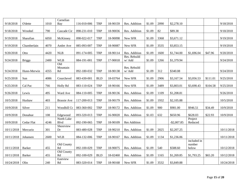| 9/18/2018  | O'dette       | 1010 | Carnelian<br><b>Bay</b>      | 116-010-006 | <b>TRP</b> | 18-90159 | Res. Addition          | \$1.09 | 2090 | \$2,278.10   |                       |          | 9/18/2018  |
|------------|---------------|------|------------------------------|-------------|------------|----------|------------------------|--------|------|--------------|-----------------------|----------|------------|
| 9/18/2018  | Wroobel       | 790  | Cascade Cir                  | 098-231-010 | <b>TRP</b> | 18-90036 | Res. Addition          | \$1.09 | 82   | \$89.38      |                       |          | 9/18/2018  |
| 9/19/2018  | Sharafian     | 6050 | McKinney                     | 098-022-017 | <b>TRP</b> | 18-90098 | New SFR                | \$1.09 | 3368 | \$3,671.12   |                       |          | 9/19/2018  |
| 9/19/2018  | Chamberlain   | 4070 | Antler Ave                   | 085-093-007 | <b>TRP</b> | 18-90087 | New SFR                | \$1.09 | 3535 | \$3,853.15   |                       |          | 9/19/2018  |
| 9/20/2018  | Otto          | 4420 | NLB                          | 091-174-005 | <b>TRP</b> | 18-90114 | Res. Addition          | \$1.09 | 1600 | \$1,744.00   | \$1,696.04            | \$47.96  | 9/20/2018  |
| 9/24/2018  | <b>Briggs</b> | 2400 | <b>WLB</b>                   | 084-191-001 | <b>TRP</b> | 17-90018 | Res. Rebuild<br>w/ Add | \$1.09 | 1266 | \$1,379.94   |                       |          | 9/24/2018  |
|            |               |      | $\overline{Old}$<br>Mountain |             |            |          | Res. Rebuild           |        |      |              |                       |          |            |
| 9/24/2018  | Hunn-Merwin   | 4355 | Rd                           | 092-180-032 | <b>TRP</b> | 18-90138 | w/ Add                 | \$1.09 | 312  | \$340.08     |                       |          | 9/24/2018  |
| 9/25/2018  | Sun           | 4086 | Courchevel                   | 083-430-001 | <b>BLD</b> | 18-03764 | New SFR                | \$1.09 | 2906 | \$3,167.54   | \$3,056.53            | \$111.01 | 9/25/2018  |
| 9/25/2018  | Cal Pac       | 766  | Holly Rd                     | 083-110-024 | <b>TRP</b> | 18-90166 | New SFR                | \$1.09 | 3489 | \$3,803.01   | \$3,698.43            | \$104.58 | 9/25/2018  |
| 9/26/2018  | Lewis         | 495  | Ward Ave                     | 084-110-005 | <b>TRP</b> | 18-90136 | Res. Addition          | \$1.09 | 1109 | \$1,208.81   |                       |          | 9/26/2018  |
| 10/5/2018  | Hushaw        | 403  | <b>Brassie Ave</b>           | 117-200-013 | <b>TRP</b> | 18-90179 | Res. Addition          | \$1.09 | 1932 | \$2,105.88   |                       |          | 10/5/2018  |
| 10/9/2018  | Silver        | 211  | Woodhill Ct                  | 083-360-002 | <b>TRP</b> | 18-90172 | Res. Addition          | \$1.09 | 900  | \$981.00     | \$946.51              | \$34.49  | 10/9/2018  |
| 10/9/2018  | Donahue       | 108  | Edgewood                     | 093-320-013 | <b>TRP</b> | 16-90020 | Res. Addition          | \$1.03 | 632  | \$650.96     | \$628.03              | \$22.93  | 10/9/2018  |
| 10/9/2018  | Cedar Flat    | 4246 | North Lake<br>Blvd           | 092-190-065 | <b>TRP</b> | 18-90109 | <b>Res Addition</b>    |        |      | $-$2,007.85$ | Project<br>Reduced    |          |            |
| 10/11/2018 | Mercurio      | 301  | Shoreview<br>Dr              | 083-480-028 | <b>TRP</b> | 18-90210 | Res. Addition          | \$1.09 | 2025 | \$2,207.25   |                       |          | 10/11/2018 |
| 10/11/2018 | Johansen      | 2600 | <b>WLB</b>                   | 084-132-006 | <b>TRP</b> | 18-90167 | Res. Addition          | \$1.09 | 1134 | \$1,236.06   |                       |          | 10/11/2018 |
|            |               |      | Old County                   |             |            |          |                        |        |      |              | included in<br>number |          |            |
| 10/11/2018 | <b>Barker</b> | 455  | Rd                           | 092-100-029 | <b>TRP</b> | 18-90075 | Res. Addition          | \$1.09 | 540  | \$588.60     | below                 |          | 10/12/2018 |
| 10/11/2018 | <b>Barker</b> | 455  | Old County<br>Rd             | 092-100-029 | <b>BLD</b> | 18-02460 | Res. Addition          | \$1.09 | 1165 | \$1,269.85   | \$1,793.25            | \$65.20  | 10/12/2018 |
| 10/24/2018 | Olin          | 240  | Eastview<br>Rd               | 083-320-014 | <b>TRP</b> | 18-90168 | New SFR                | \$1.09 | 3532 | \$3,849.88   |                       |          | 10/24/2018 |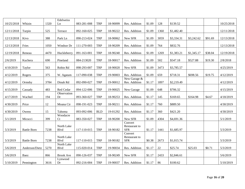| 10/25/2018 | Whizin             | 1320 | Edelweiss<br>Ln            | 083-281-008 | <b>TRP</b> | 18-90099 | Res. Addition                          | \$1.09 | 128  | \$139.52   |            |         | 10/25/2018 |
|------------|--------------------|------|----------------------------|-------------|------------|----------|----------------------------------------|--------|------|------------|------------|---------|------------|
| 12/11/2018 | Turpin             | 525  | Terrace                    | 092-160-025 | <b>TRP</b> | 18-90222 | Res. Addition                          | \$1.09 | 1360 | \$1,482.40 |            |         | 12/11/2018 |
| 12/13/2018 | Kivo               | 388  | Park Ln                    | 090-213-024 | <b>TRP</b> | 18-90062 | New SFR                                | \$1.09 | 3059 | \$3,334.31 | \$3,242.62 | \$91.69 | 12/13/2018 |
| 12/13/2018 | Fries              | 1050 | Windsor Dr                 | 111-270-003 | <b>TRP</b> | 18-90209 | Res. Addition                          | \$1.09 | 764  | \$832.76   |            |         | 12/13/2018 |
| 12/19/2018 | Reneau             | 4470 | Huckleberry                | 091-163-001 | <b>TRP</b> | 18-90240 | Res. Addition                          | \$1.09 | 1269 | \$1,383.21 | \$1,345.17 | \$38.04 | 12/19/2018 |
| 2/6/2019   | Kuchera            | 690  | Pineland                   | 084-213020  | <b>TRP</b> | 18-90017 | Res. Addition                          | \$1.09 | 502  | \$547.18   | \$527.88   | \$19.30 | 2/8/2018   |
| 4/10/2019  | Taylor             | 563  | Robin Rd                   | 098-293-007 | <b>TRP</b> | 18-90020 | New SFR                                | \$1.09 | 3473 | \$3,785.57 |            |         | 4/25/2019  |
| 4/12/2019  | Rogers             | 375  | W. Agatam                  | 117-090-038 | <b>TRP</b> | 19-90003 | Res. Addition                          | \$1.09 | 659  | \$718.31   | \$698.56   | \$19.75 | 4/12/2019  |
| 4/12/2019  | Ormsby             | 3784 | Dinah Rd                   | 092-090-027 | <b>TRP</b> | 19-90012 | New Garage &<br>Res. Addition          | \$1.17 | 1897 | \$2,219.49 |            |         | 4/12/2019  |
| 4/15/2019  | Cassady            | 483  | Red Cedar                  | 094-122-006 | <b>TRP</b> | 19-90025 | New Garage                             | \$1.09 | 648  | \$706.32   |            |         | 4/15/2019  |
| 4/17/2019  | Wachtel            | 194  | Observation<br>Dr          | 093-360-027 | <b>TRP</b> | 18-90253 | Res. Addition                          | \$1.17 | 145  | \$169.65   | \$164.98   | \$4.67  | 4/18/2019  |
| 4/30/2019  | Price              | 12   | Moana Cir                  | 098-191-023 | <b>TRP</b> | 18-90211 | Res. Addition                          | \$1.17 | 760  | \$889.50   |            |         | 4/30/2019  |
| 4/30/2019  | Owens              | 15   | Tahoma                     | 093-092-006 | <b>BLD</b> | 19-01292 | Res. Addition                          | \$1.17 | 360  | \$421.20   |            |         | 4/30/2019  |
| 5/1/2019   | Micucci            | 399  | Woodacre<br>Ct             | 083-350-027 | <b>TRP</b> | 18-90200 | New SFR                                | \$1.09 | 4304 | \$4,691.36 |            |         | 5/1/2019   |
| 5/3/2019   | <b>Battle Born</b> | 7238 | North Lake<br><b>B</b> lvd | 117-110-015 | <b>TRP</b> | 18-90182 | Convert<br>Restaurant to<br><b>SFR</b> | \$1.17 | 1441 | \$1,685.97 |            |         | 5/3/2019   |
| 5/3/2019   | <b>Battle Born</b> | 7238 | North Lake<br>Blvd         | 117-110-015 | <b>TRP</b> | 18-90182 | Convert<br>Restaurant to<br><b>SFR</b> | \$0.38 | 2673 | \$1,015.74 |            |         | 5/3/2019   |
| 5/6/2019   | Anderson/Dietz     | 5270 | North Lake<br><b>B</b> lvd | 115-020-014 | <b>TRP</b> | 19-90034 | Res. Addition                          | \$1.17 | 22   | \$25.74    | \$25.03    | \$0.71  | 5/3/2019   |
| 5/6/2019   | Baez               | 866  | <b>Brook Ave</b>           | 090-126-037 | <b>TRP</b> | 18-90249 | New SFR                                | \$1.17 | 2433 | \$2,846.61 |            |         | 5/6/2019   |
| 5/10/2019  | Pennington         | 3616 | Lynwood<br>Dr              | 092-216-004 | <b>TRP</b> | 19-90037 | Res. Addition                          | \$1.17 | 86   | \$100.62   |            |         | 5/10/2019  |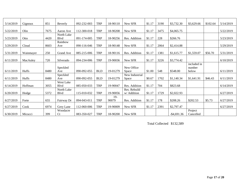| 5/14/2019 | Gignoux   | 851  | Beverly    | 092-232-003 | <b>TRP</b> | 18-90110 | New SFR        | \$1.17 | 3190 | \$3,732.30     | \$3,629.66  | \$102.64 | 5/14/2019 |
|-----------|-----------|------|------------|-------------|------------|----------|----------------|--------|------|----------------|-------------|----------|-----------|
|           |           |      |            |             |            |          |                |        |      |                |             |          |           |
| 5/22/2019 | Olin      | 7675 | Aaron Ave  | 112-300-018 | <b>TRP</b> | 18-90208 | New SFR        | \$1.17 | 3475 | \$4,065.75     |             |          | 5/22/2019 |
|           |           |      | North Lake |             |            |          |                |        |      |                |             |          |           |
| 5/23/2019 | Otto      | 4420 | Blvd       | 091-174-005 | <b>TRP</b> | 18-90256 | Res. Addition  | \$1.17 | 228  | \$266.76       |             |          | 5/23/2019 |
|           |           |      | Rainbow    |             |            |          |                |        |      |                |             |          |           |
| 5/29/2019 | Cloud     | 8603 | Ave        | 090-116-046 | <b>TRP</b> | 18-90148 | New SFR        | \$1.17 | 2064 | \$2,414.88     |             |          | 5/29/2019 |
|           |           |      |            |             |            |          |                |        |      |                |             |          |           |
| 5/31/2019 | Wainmayer | 250  | Grand Ave  | 085-215-006 | <b>TRP</b> | 18-90116 | Res. Addition  | \$1.17 | 1381 | \$1,615.77     | \$1,559.07  | \$56.70  | 5/31/2019 |
|           |           |      |            |             |            |          |                |        |      |                |             |          |           |
| 6/11/2019 | MacAuley  | 720  | Silverado  | 094-234-006 | <b>TRP</b> | 19-90036 | New SFR        | \$1.17 | 3226 | \$3,774.42     |             |          | 6/10/2019 |
|           |           |      |            |             |            |          |                |        |      |                | included in |          |           |
|           |           |      | Speckled   |             |            |          | New Office     |        |      |                | number      |          |           |
| 6/11/2019 | Huffs     | 8480 | Ave        | 090-092-055 | <b>BLD</b> | 19-01279 | Space          | \$1.00 | 548  | \$548.00       | below       |          | 6/11/2019 |
|           |           |      | Speckled   |             |            |          | New Industrial |        |      |                |             |          |           |
| 6/11/2019 | Huffs     | 8480 | Ave        | 090-092-055 | <b>BLD</b> | 19-01279 | Space          | \$0.67 | 1702 | \$1,140.34     | \$1,641.91  | \$46.43  | 6/11/2019 |
|           |           |      | West Lake  |             |            |          |                |        |      |                |             |          |           |
| 6/14/2019 | Hoffman   | 3055 | Blvd       | 085-050-033 | <b>TRP</b> | 19-90047 | Res. Addition  | \$1.17 | 704  | \$823.68       |             |          | 6/14/2019 |
|           |           |      | North Lake |             |            |          | Res. Rebuild   |        |      |                |             |          |           |
| 6/20/2019 | Hodge     | 5372 | Blvd       | 115-010-032 | <b>TRP</b> | 19-90056 | w/ Addition    | \$1.17 | 1729 | \$2,022.93     |             |          | 6/27/2019 |
|           |           |      |            |             |            | $19-$    |                |        |      |                |             |          |           |
| 6/27/2019 | Forte     | 655  | Fairway Dr | 094-043-011 | <b>TRP</b> | 90079    | Res. Addition  | \$1.17 | 178  | \$208.26       | \$202.53    | \$5.73   | 6/27/2019 |
|           |           |      |            |             |            |          |                |        |      |                |             |          |           |
| 6/27/2019 | Cook      | 6974 | Grey Lane  | 112-060-006 | <b>TRP</b> | 19-90009 | New SFR        | \$1.17 | 2391 | \$2,797.47     |             |          | 6/27/2019 |
|           |           |      | Woodacre   |             |            |          |                |        |      |                | Project     |          |           |
| 6/30/2019 | Micucci   | 399  | Ct         | 083-350-027 | <b>TRP</b> | 18-90200 | New SFR        |        |      | $-$ \$4,691.36 | Cancelled   |          |           |

Total Collected \$132,589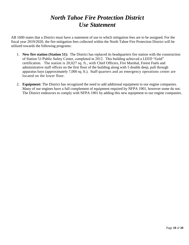### *North Tahoe Fire Protection District Use Statement*

AB 1600 states that a District must have a statement of use to which mitigation fees are to be assigned. For the fiscal year 2019/2020, the fire mitigation fees collected within the North Tahoe Fire Protection District will be utilized towards the following programs:

- 1. **New fire station (Station 51):** The District has replaced its headquarters fire station with the construction of Station 51/Public Safety Center, completed in 2012. This building achieved a LEED "Gold" certification. The station is 20,027 sq. ft., with Chief Officers, Fire Marshal, Forest Fuels and administrative staff offices on the first floor of the building along with 5 double deep, pull through apparatus bays (approximately 7,000 sq. ft.). Staff quarters and an emergency operations center are located on the lower floor.
- 2. **Equipment:** The District has recognized the need to add additional equipment to our engine companies. Many of our engines have a full complement of equipment required by NFPA 1901, however some do not. The District endeavors to comply with NFPA 1901 by adding this new equipment to our engine companies.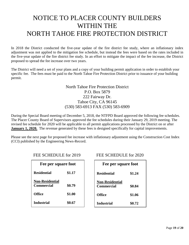## NOTICE TO PLACER COUNTY BUILDERS WITHIN THE NORTH TAHOE FIRE PROTECTION DISTRICT

In 2018 the District conducted the five-year update of the fire district fee study, where an inflationary index adjustment was not applied to the mitigation fee schedule, but instead the fees were based on the rates included in the five-year update of the fire district fee study. In an effort to mitigate the impact of the fee increase, the District proposed to spread the fee increase over two years.

The District will need a set of your plans and a copy of your building permit application in order to establish your specific fee. The fees must be paid to the North Tahoe Fire Protection District prior to issuance of your building permit.

> North Tahoe Fire Protection District P.O. Box 5879 222 Fairway Dr. Tahoe City, CA 96145 (530) 583-6913 FAX (530) 583-6909

During the Special Board meeting of December 5, 2018, the NTFPD Board approved the following fee schedules. The Placer County Board of Supervisors approved the fee schedules during their January 29, 2019 meeting. The revised fee schedule for 2020 will be applicable to all permit applications processed by the District on or after **January 1, 2020.** The revenue generated by these fees is designed specifically for capital improvements.

Please see the next page for proposed fee increase with inflationary adjustment using the Construction Cost Index (CCI) published by the Engineering News-Record.

| Fee per square foot                         |        |  |  |  |
|---------------------------------------------|--------|--|--|--|
| <b>Residential</b>                          | \$1.17 |  |  |  |
| <b>Non-Residential</b><br><b>Commercial</b> | \$0.79 |  |  |  |
| Office                                      | \$1.00 |  |  |  |
| <b>Industrial</b>                           | \$0.67 |  |  |  |

#### FEE SCHEDULE for 2019 FEE SCHEDULE for 2020

| Fee per square foot                         |        |  |  |  |
|---------------------------------------------|--------|--|--|--|
| <b>Residential</b>                          | \$1.24 |  |  |  |
| <b>Non-Residential</b><br><b>Commercial</b> | \$0.84 |  |  |  |
| Office                                      | \$1.06 |  |  |  |
| Industrial                                  | \$0.72 |  |  |  |